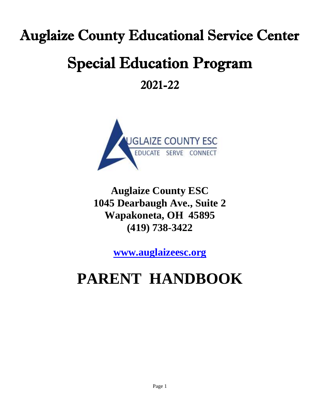# Auglaize County Educational Service Center Special Education Program 2021-22



**Auglaize County ESC 1045 Dearbaugh Ave., Suite 2 Wapakoneta, OH 45895 (419) 738-3422**

**[www.auglaizeesc.org](http://www.auglaizeesc.org/)**

## **PARENT HANDBOOK**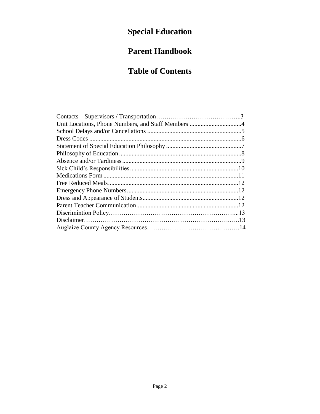## **Special Education**

## **Parent Handbook**

### **Table of Contents**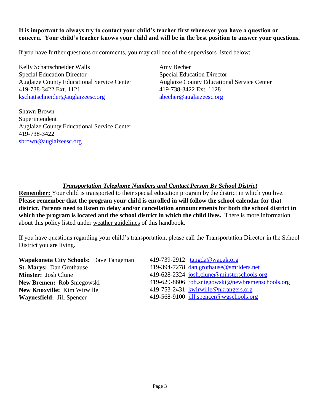#### **It is important to always try to contact your child's teacher first whenever you have a question or concern. Your child's teacher knows your child and will be in the best position to answer your questions.**

If you have further questions or comments, you may call one of the supervisors listed below:

Kelly Schattschneider Walls Special Education Director Auglaize County Educational Service Center 419-738-3422 Ext. 1121 [kschattschneider@auglaizeesc.org](mailto:kschattschneider@auglaizeesc.org)

Shawn Brown Superintendent Auglaize County Educational Service Center 419-738-3422 [sbrown@auglaizeesc.org](mailto:sbrown@auglaizeesc.org)

Amy Becher Special Education Director Auglaize County Educational Service Center 419-738-3422 Ext. 1128 [abecher@auglaizeesc.org](mailto:abecher@auglaizeesc.org)

#### *Transportation Telephone Numbers and Contact Person By School District*

**Remember:** Your child is transported to their special education program by the district in which you live. **Please remember that the program your child is enrolled in will follow the school calendar for that district. Parents need to listen to delay and/or cancellation announcements for both the school district in which the program is located and the school district in which the child lives.** There is more information about this policy listed under weather guidelines of this handbook.

If you have questions regarding your child's transportation, please call the Transportation Director in the School District you are living.

| <b>Wapakoneta City Schools: Dave Tangeman</b> | 419-739-2912 tangda@wapak.org                    |
|-----------------------------------------------|--------------------------------------------------|
| <b>St. Marys: Dan Grothause</b>               | 419-394-7278 dan.grothause@smriders.net          |
| <b>Minster:</b> Josh Clune                    | 419-628-2324 josh.clune@minsterschools.org       |
| New Bremen: Rob Sniegowski                    | 419-629-8606 rob.sniegowski@newbremenschools.org |
| <b>New Knoxville:</b> Kim Wirwille            | 419-753-2431 kwirwille@nkrangers.org             |
| <b>Waynesfield: Jill Spencer</b>              | 419-568-9100 jill.spencer@wgschools.org          |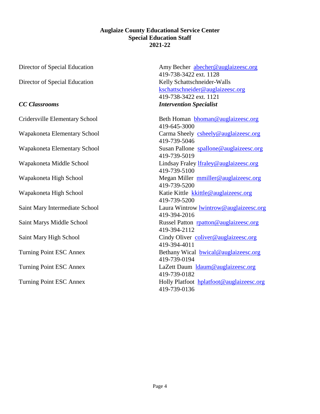#### **Auglaize County Educational Service Center Special Education Staff 2021-22**

Director of Special Education Kelly Schattschneider-Walls

Cridersville Elementary School Beth Homan [bhoman@auglaizeesc.org](mailto:bhoman@auglaizeesc.org)

Director of Special Education Amy Becher abecher @auglaizeesc.org 419-738-3422 ext. 1128 [kschattschneider@auglaizeesc.org](mailto:kschattschneider@auglaizeesc.org) 419-738-3422 ext. 1121 *CC Classrooms Intervention Specialist*

419-645-3000 Wapakoneta Elementary School Carma Sheely [csheely@auglaizeesc.org](mailto:csheely@auglaizeesc.org) 419-739-5046 Wapakoneta Elementary School Susan Pallone spallone @auglaizeesc.org 419-739-5019 Wapakoneta Middle School Lindsay Fraley *Ifraley @auglaizeesc.org* 419-739-5100 Wapakoneta High School Megan Miller muiller **muiller** @auglaizeesc.org 419-739-5200 Wapakoneta High School Katie Kittle [kkittle@auglaizeesc.org](mailto:kkittle@auglaizeesc.org) 419-739-5200 Saint Mary Intermediate School Laura Wintrow lwintrow @auglaizeesc.org 419-394-2016 Saint Marys Middle School Russel Patton results and results and results and results and results are Russel Patton results and results and results and results are results and results are results and results are results and 419-394-2112 Saint Mary High School Cindy Oliver coliver @auglaizeesc.org 419-394-4011 Turning Point ESC Annex Bethany Wical [bwical@auglaizeesc.org](mailto:bwical@auglaizeesc.org) 419-739-0194 Turning Point ESC Annex LaZett Daum [ldaum@auglaizeesc.org](mailto:ldaum@auglaizeesc.org) 419-739-0182 Turning Point ESC Annex Holly Platfoot hplatfoot @auglaizeesc.org 419-739-0136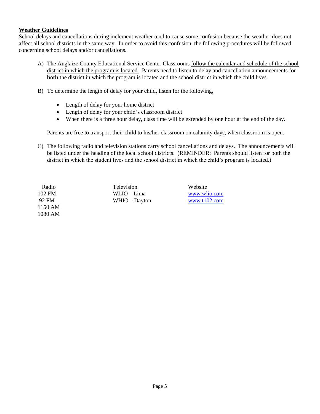#### **Weather Guidelines**

School delays and cancellations during inclement weather tend to cause some confusion because the weather does not affect all school districts in the same way. In order to avoid this confusion, the following procedures will be followed concerning school delays and/or cancellations.

- A) The Auglaize County Educational Service Center Classrooms follow the calendar and schedule of the school district in which the program is located. Parents need to listen to delay and cancellation announcements for **both** the district in which the program is located and the school district in which the child lives.
- B) To determine the length of delay for your child, listen for the following,
	- Length of delay for your home district
	- Length of delay for your child's classroom district
	- When there is a three hour delay, class time will be extended by one hour at the end of the day.

Parents are free to transport their child to his/her classroom on calamity days, when classroom is open.

C) The following radio and television stations carry school cancellations and delays. The announcements will be listed under the heading of the local school districts. (REMINDER: Parents should listen for both the district in which the student lives and the school district in which the child's program is located.)

1150 AM 1080 AM

Radio Television Website 102 FM WLIO – Lima [www.wlio.com](http://www.wlio.com/) 92 FM WHIO – Dayton [www.t102.com](http://www.t102.com/)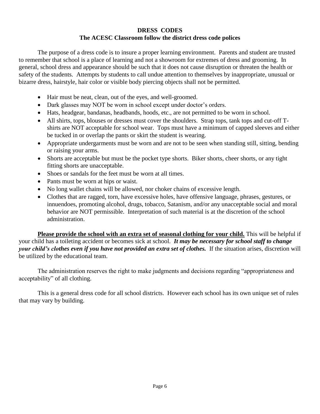#### **DRESS CODES The ACESC Classroom follow the district dress code polices**

The purpose of a dress code is to insure a proper learning environment. Parents and student are trusted to remember that school is a place of learning and not a showroom for extremes of dress and grooming. In general, school dress and appearance should be such that it does not cause disruption or threaten the health or safety of the students. Attempts by students to call undue attention to themselves by inappropriate, unusual or bizarre dress, hairstyle, hair color or visible body piercing objects shall not be permitted.

- Hair must be neat, clean, out of the eyes, and well-groomed.
- Dark glasses may NOT be worn in school except under doctor's orders.
- Hats, headgear, bandanas, headbands, hoods, etc., are not permitted to be worn in school.
- All shirts, tops, blouses or dresses must cover the shoulders. Strap tops, tank tops and cut-off Tshirts are NOT acceptable for school wear. Tops must have a minimum of capped sleeves and either be tucked in or overlap the pants or skirt the student is wearing.
- Appropriate undergarments must be worn and are not to be seen when standing still, sitting, bending or raising your arms.
- Shorts are acceptable but must be the pocket type shorts. Biker shorts, cheer shorts, or any tight fitting shorts are unacceptable.
- Shoes or sandals for the feet must be worn at all times.
- Pants must be worn at hips or waist.
- No long wallet chains will be allowed, nor choker chains of excessive length.
- Clothes that are ragged, torn, have excessive holes, have offensive language, phrases, gestures, or innuendoes, promoting alcohol, drugs, tobacco, Satanism, and/or any unacceptable social and moral behavior are NOT permissible. Interpretation of such material is at the discretion of the school administration.

**Please provide the school with an extra set of seasonal clothing for your child.** This will be helpful if your child has a toileting accident or becomes sick at school. *It may be necessary for school staff to change your child's clothes even if you have not provided an extra set of clothes.* If the situation arises, discretion will be utilized by the educational team.

The administration reserves the right to make judgments and decisions regarding "appropriateness and acceptability" of all clothing.

This is a general dress code for all school districts. However each school has its own unique set of rules that may vary by building.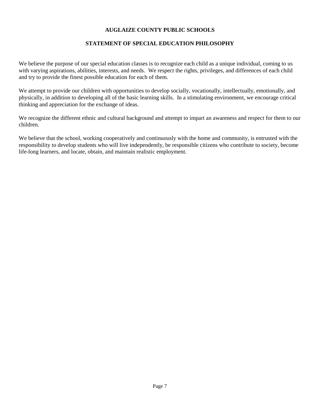#### **AUGLAIZE COUNTY PUBLIC SCHOOLS**

#### **STATEMENT OF SPECIAL EDUCATION PHILOSOPHY**

We believe the purpose of our special education classes is to recognize each child as a unique individual, coming to us with varying aspirations, abilities, interests, and needs. We respect the rights, privileges, and differences of each child and try to provide the finest possible education for each of them.

We attempt to provide our children with opportunities to develop socially, vocationally, intellectually, emotionally, and physically, in addition to developing all of the basic learning skills. In a stimulating environment, we encourage critical thinking and appreciation for the exchange of ideas.

We recognize the different ethnic and cultural background and attempt to impart an awareness and respect for them to our children.

We believe that the school, working cooperatively and continuously with the home and community, is entrusted with the responsibility to develop students who will live independently, be responsible citizens who contribute to society, become life-long learners, and locate, obtain, and maintain realistic employment.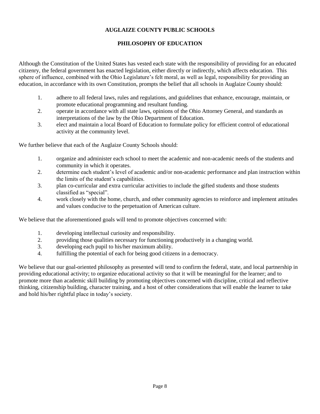#### **AUGLAIZE COUNTY PUBLIC SCHOOLS**

#### **PHILOSOPHY OF EDUCATION**

Although the Constitution of the United States has vested each state with the responsibility of providing for an educated citizenry, the federal government has enacted legislation, either directly or indirectly, which affects education. This sphere of influence, combined with the Ohio Legislature's felt moral, as well as legal, responsibility for providing an education, in accordance with its own Constitution, prompts the belief that all schools in Auglaize County should:

- 1. adhere to all federal laws, rules and regulations, and guidelines that enhance, encourage, maintain, or promote educational programming and resultant funding.
- 2. operate in accordance with all state laws, opinions of the Ohio Attorney General, and standards as interpretations of the law by the Ohio Department of Education.
- 3. elect and maintain a local Board of Education to formulate policy for efficient control of educational activity at the community level.

We further believe that each of the Auglaize County Schools should:

- 1. organize and administer each school to meet the academic and non-academic needs of the students and community in which it operates.
- 2. determine each student's level of academic and/or non-academic performance and plan instruction within the limits of the student's capabilities.
- 3. plan co-curricular and extra curricular activities to include the gifted students and those students classified as "special".
- 4. work closely with the home, church, and other community agencies to reinforce and implement attitudes and values conducive to the perpetuation of American culture.

We believe that the aforementioned goals will tend to promote objectives concerned with:

- 1. developing intellectual curiosity and responsibility.
- 2. providing those qualities necessary for functioning productively in a changing world.
- 3. developing each pupil to his/her maximum ability.
- 4. fulfilling the potential of each for being good citizens in a democracy.

We believe that our goal-oriented philosophy as presented will tend to confirm the federal, state, and local partnership in providing educational activity; to organize educational activity so that it will be meaningful for the learner; and to promote more than academic skill building by promoting objectives concerned with discipline, critical and reflective thinking, citizenship building, character training, and a host of other considerations that will enable the learner to take and hold his/her rightful place in today's society.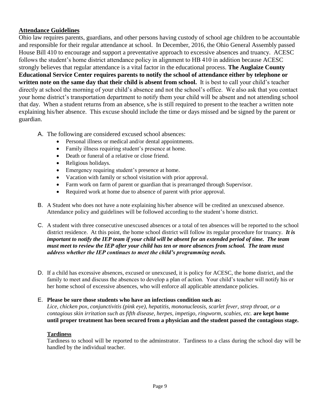#### **Attendance Guidelines**

Ohio law requires parents, guardians, and other persons having custody of school age children to be accountable and responsible for their regular attendance at school. In December, 2016, the Ohio General Assembly passed House Bill 410 to encourage and support a preventative approach to excessive absences and truancy. ACESC follows the student's home district attendance policy in alignment to HB 410 in addition because ACESC strongly believes that regular attendance is a vital factor in the educational process. **The Auglaize County Educational Service Center requires parents to notify the school of attendance either by telephone or written note on the same day that their child is absent from school.** It is best to call your child's teacher directly at school the morning of your child's absence and not the school's office. We also ask that you contact your home district's transportation department to notify them your child will be absent and not attending school that day. When a student returns from an absence, s/he is still required to present to the teacher a written note explaining his/her absence. This excuse should include the time or days missed and be signed by the parent or guardian.

- A. The following are considered excused school absences:
	- Personal illness or medical and/or dental appointments.
	- Family illness requiring student's presence at home.
	- Death or funeral of a relative or close friend.
	- Religious holidays.
	- Emergency requiring student's presence at home.
	- Vacation with family or school visitation with prior approval.
	- Farm work on farm of parent or guardian that is prearranged through Supervisor.
	- Required work at home due to absence of parent with prior approval.
- B. A Student who does not have a note explaining his/her absence will be credited an unexcused absence. Attendance policy and guidelines will be followed according to the student's home district.
- C. A student with three consecutive unexcused absences or a total of ten absences will be reported to the school district residence. At this point, the home school district will follow its regular procedure for truancy. *It is important to notify the IEP team if your child will be absent for an extended period of time. The team must meet to review the IEP after your child has ten or more absences from school. The team must address whether the IEP continues to meet the child's programming needs.*
- D. If a child has excessive absences, excused or unexcused, it is policy for ACESC, the home district, and the family to meet and discuss the absences to develop a plan of action. Your child's teacher will notify his or her home school of excessive absences, who will enforce all applicable attendance policies.

#### E. **Please be sure those students who have an infectious condition such as:**

*Lice, chicken pox, conjunctivitis (pink eye), hepatitis, mononucleosis, scarlet fever, strep throat, or a contagious skin irritation such as fifth disease, herpes, impetigo, ringworm, scabies, etc.* **are kept home until proper treatment has been secured from a physician and the student passed the contagious stage.** 

#### **Tardiness**

Tardiness to school will be reported to the adminstrator. Tardiness to a class during the school day will be handled by the individual teacher.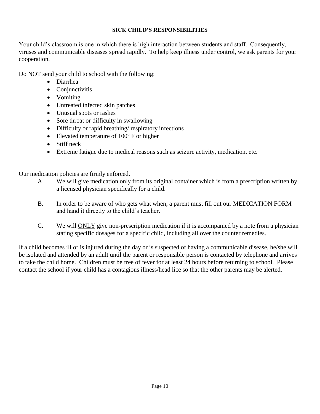#### **SICK CHILD'S RESPONSIBILITIES**

Your child's classroom is one in which there is high interaction between students and staff. Consequently, viruses and communicable diseases spread rapidly. To help keep illness under control, we ask parents for your cooperation.

Do NOT send your child to school with the following:

- Diarrhea
- Conjunctivitis
- Vomiting
- Untreated infected skin patches
- Unusual spots or rashes
- Sore throat or difficulty in swallowing
- Difficulty or rapid breathing/ respiratory infections
- Elevated temperature of  $100^{\circ}$  F or higher
- Stiff neck
- Extreme fatigue due to medical reasons such as seizure activity, medication, etc.

Our medication policies are firmly enforced.

- A. We will give medication only from its original container which is from a prescription written by a licensed physician specifically for a child.
- B. In order to be aware of who gets what when, a parent must fill out our MEDICATION FORM and hand it directly to the child's teacher.
- C. We will ONLY give non-prescription medication if it is accompanied by a note from a physician stating specific dosages for a specific child, including all over the counter remedies.

If a child becomes ill or is injured during the day or is suspected of having a communicable disease, he/she will be isolated and attended by an adult until the parent or responsible person is contacted by telephone and arrives to take the child home. Children must be free of fever for at least 24 hours before returning to school. Please contact the school if your child has a contagious illness/head lice so that the other parents may be alerted.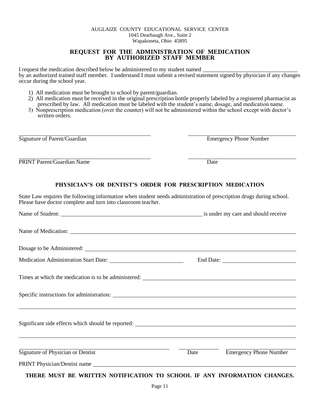#### AUGLAIZE COUNTY EDUCATIONAL SERVICE CENTER 1045 Dearbaugh Ave., Suite 2 Wapakoneta, Ohio 45895

#### **REQUEST FOR THE ADMINISTRATION OF MEDICATION BY AUTHORIZED STAFF MEMBER**

I request the medication described below be administered to my student named by an authorized trained staff member. I understand I must submit a revised statement signed by physician if any changes occur during the school year.

- 1) All medication must be brought to school by parent/guardian.
- 2) All medication must be received in the original prescription bottle properly labeled by a registered pharmacist as prescribed by law. All medication must be labeled with the student's name, dosage, and medication name.
- 3) Nonprescription medication (over the counter) will not be administered within the school except with doctor's written orders.

Signature of Parent/Guardian Emergency Phone Number

PRINT Parent/Guardian Name Date

## **PHYSICIAN'S OR DENTIST'S ORDER FOR PRESCRIPTION MEDICATION**

State Law requires the following information when student needs administration of prescription drugs during school. Please have doctor complete and turn into classroom teacher.

| Name of Medication:                                                                                |      |                               |  |
|----------------------------------------------------------------------------------------------------|------|-------------------------------|--|
|                                                                                                    |      |                               |  |
|                                                                                                    |      |                               |  |
|                                                                                                    |      |                               |  |
|                                                                                                    |      |                               |  |
|                                                                                                    |      |                               |  |
| <u> 2000 - Andrea Andrewski, amerikansk politik (d. 1989)</u><br>Signature of Physician or Dentist | Date | <b>Emergency Phone Number</b> |  |
| PRINT Physician/Dentist name                                                                       |      |                               |  |
| THERE MUST BE WRITTEN NOTIFICATION TO SCHOOL IF ANY INFORMATION CHANGES.                           |      |                               |  |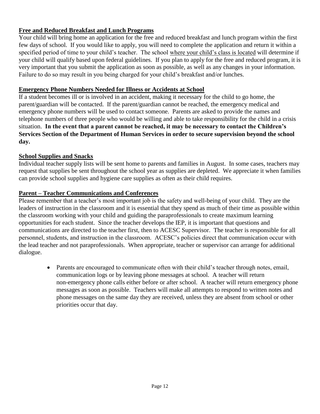#### **Free and Reduced Breakfast and Lunch Programs**

Your child will bring home an application for the free and reduced breakfast and lunch program within the first few days of school. If you would like to apply, you will need to complete the application and return it within a specified period of time to your child's teacher. The school where your child's class is located will determine if your child will qualify based upon federal guidelines. If you plan to apply for the free and reduced program, it is very important that you submit the application as soon as possible, as well as any changes in your information. Failure to do so may result in you being charged for your child's breakfast and/or lunches.

#### **Emergency Phone Numbers Needed for Illness or Accidents at School**

If a student becomes ill or is involved in an accident, making it necessary for the child to go home, the parent/guardian will be contacted. If the parent/guardian cannot be reached, the emergency medical and emergency phone numbers will be used to contact someone. Parents are asked to provide the names and telephone numbers of three people who would be willing and able to take responsibility for the child in a crisis situation. **In the event that a parent cannot be reached, it may be necessary to contact the Children's Services Section of the Department of Human Services in order to secure supervision beyond the school day.**

#### **School Supplies and Snacks**

Individual teacher supply lists will be sent home to parents and families in August. In some cases, teachers may request that supplies be sent throughout the school year as supplies are depleted. We appreciate it when families can provide school supplies and hygiene care supplies as often as their child requires.

#### **Parent – Teacher Communications and Conferences**

Please remember that a teacher's most important job is the safety and well-being of your child. They are the leaders of instruction in the classroom and it is essential that they spend as much of their time as possible within the classroom working with your child and guiding the paraprofessionals to create maximum learning opportunities for each student. Since the teacher develops the IEP, it is important that questions and communications are directed to the teacher first, then to ACESC Supervisor. The teacher is responsible for all personnel, students, and instruction in the classroom. ACESC's policies direct that communication occur with the lead teacher and not paraprofessionals. When appropriate, teacher or supervisor can arrange for additional dialogue.

• Parents are encouraged to communicate often with their child's teacher through notes, email, communication logs or by leaving phone messages at school. A teacher will return non-emergency phone calls either before or after school. A teacher will return emergency phone messages as soon as possible. Teachers will make all attempts to respond to written notes and phone messages on the same day they are received, unless they are absent from school or other priorities occur that day.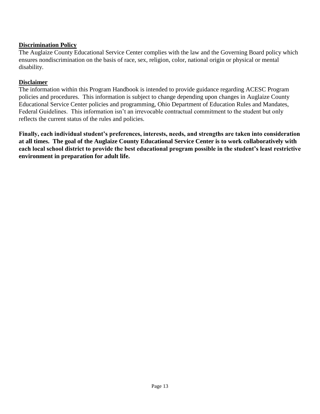#### **Discrimination Policy**

The Auglaize County Educational Service Center complies with the law and the Governing Board policy which ensures nondiscrimination on the basis of race, sex, religion, color, national origin or physical or mental disability.

#### **Disclaimer**

The information within this Program Handbook is intended to provide guidance regarding ACESC Program policies and procedures. This information is subject to change depending upon changes in Auglaize County Educational Service Center policies and programming, Ohio Department of Education Rules and Mandates, Federal Guidelines. This information isn't an irrevocable contractual commitment to the student but only reflects the current status of the rules and policies.

**Finally, each individual student's preferences, interests, needs, and strengths are taken into consideration at all times. The goal of the Auglaize County Educational Service Center is to work collaboratively with each local school district to provide the best educational program possible in the student's least restrictive environment in preparation for adult life.**